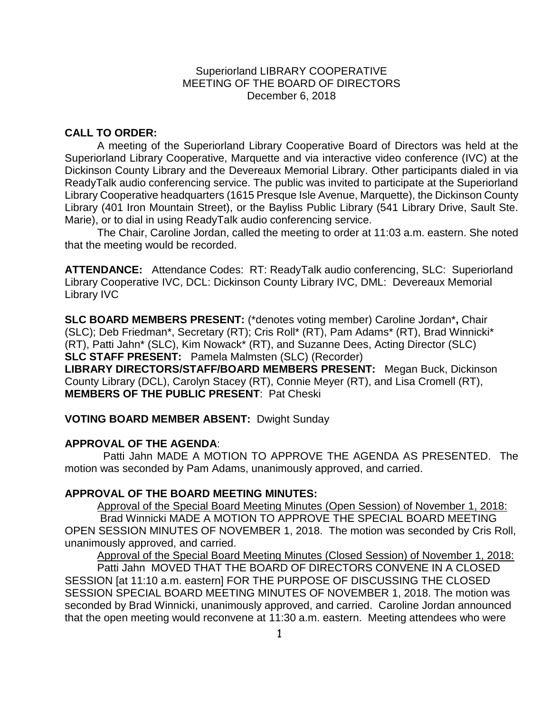## Superiorland LIBRARY COOPERATIVE MEETING OF THE BOARD OF DIRECTORS December 6, 2018

# **CALL TO ORDER:**

A meeting of the Superiorland Library Cooperative Board of Directors was held at the Superiorland Library Cooperative, Marquette and via interactive video conference (IVC) at the Dickinson County Library and the Devereaux Memorial Library. Other participants dialed in via ReadyTalk audio conferencing service. The public was invited to participate at the Superiorland Library Cooperative headquarters (1615 Presque Isle Avenue, Marquette), the Dickinson County Library (401 Iron Mountain Street), or the Bayliss Public Library (541 Library Drive, Sault Ste. Marie), or to dial in using ReadyTalk audio conferencing service.

The Chair, Caroline Jordan, called the meeting to order at 11:03 a.m. eastern. She noted that the meeting would be recorded.

**ATTENDANCE:** Attendance Codes: RT: ReadyTalk audio conferencing, SLC: Superiorland Library Cooperative IVC, DCL: Dickinson County Library IVC, DML: Devereaux Memorial Library IVC

**SLC BOARD MEMBERS PRESENT:** (\*denotes voting member) Caroline Jordan\***,** Chair (SLC); Deb Friedman\*, Secretary (RT); Cris Roll\* (RT), Pam Adams\* (RT), Brad Winnicki\* (RT), Patti Jahn\* (SLC), Kim Nowack\* (RT), and Suzanne Dees, Acting Director (SLC) **SLC STAFF PRESENT:** Pamela Malmsten (SLC) (Recorder)

**LIBRARY DIRECTORS/STAFF/BOARD MEMBERS PRESENT:** Megan Buck, Dickinson County Library (DCL), Carolyn Stacey (RT), Connie Meyer (RT), and Lisa Cromell (RT), **MEMBERS OF THE PUBLIC PRESENT**: Pat Cheski

**VOTING BOARD MEMBER ABSENT:** Dwight Sunday

## **APPROVAL OF THE AGENDA**:

Patti Jahn MADE A MOTION TO APPROVE THE AGENDA AS PRESENTED. The motion was seconded by Pam Adams, unanimously approved, and carried.

## **APPROVAL OF THE BOARD MEETING MINUTES:**

Approval of the Special Board Meeting Minutes (Open Session) of November 1, 2018: Brad Winnicki MADE A MOTION TO APPROVE THE SPECIAL BOARD MEETING OPEN SESSION MINUTES OF NOVEMBER 1, 2018. The motion was seconded by Cris Roll, unanimously approved, and carried.

Approval of the Special Board Meeting Minutes (Closed Session) of November 1, 2018: Patti Jahn MOVED THAT THE BOARD OF DIRECTORS CONVENE IN A CLOSED SESSION [at 11:10 a.m. eastern] FOR THE PURPOSE OF DISCUSSING THE CLOSED SESSION SPECIAL BOARD MEETING MINUTES OF NOVEMBER 1, 2018. The motion was seconded by Brad Winnicki, unanimously approved, and carried. Caroline Jordan announced that the open meeting would reconvene at 11:30 a.m. eastern. Meeting attendees who were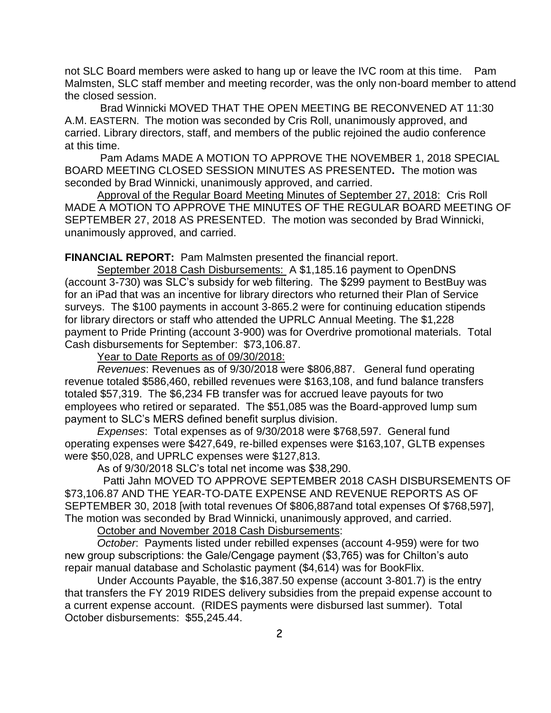not SLC Board members were asked to hang up or leave the IVC room at this time. Pam Malmsten, SLC staff member and meeting recorder, was the only non-board member to attend the closed session.

Brad Winnicki MOVED THAT THE OPEN MEETING BE RECONVENED AT 11:30 A.M. EASTERN. The motion was seconded by Cris Roll, unanimously approved, and carried. Library directors, staff, and members of the public rejoined the audio conference at this time.

Pam Adams MADE A MOTION TO APPROVE THE NOVEMBER 1, 2018 SPECIAL BOARD MEETING CLOSED SESSION MINUTES AS PRESENTED**.** The motion was seconded by Brad Winnicki, unanimously approved, and carried.

Approval of the Regular Board Meeting Minutes of September 27, 2018: Cris Roll MADE A MOTION TO APPROVE THE MINUTES OF THE REGULAR BOARD MEETING OF SEPTEMBER 27, 2018 AS PRESENTED.The motion was seconded by Brad Winnicki, unanimously approved, and carried.

**FINANCIAL REPORT:** Pam Malmsten presented the financial report.

September 2018 Cash Disbursements: A \$1,185.16 payment to OpenDNS (account 3-730) was SLC's subsidy for web filtering. The \$299 payment to BestBuy was for an iPad that was an incentive for library directors who returned their Plan of Service surveys. The \$100 payments in account 3-865.2 were for continuing education stipends for library directors or staff who attended the UPRLC Annual Meeting. The \$1,228 payment to Pride Printing (account 3-900) was for Overdrive promotional materials. Total Cash disbursements for September: \$73,106.87.

Year to Date Reports as of 09/30/2018:

*Revenues*: Revenues as of 9/30/2018 were \$806,887. General fund operating revenue totaled \$586,460, rebilled revenues were \$163,108, and fund balance transfers totaled \$57,319. The \$6,234 FB transfer was for accrued leave payouts for two employees who retired or separated. The \$51,085 was the Board-approved lump sum payment to SLC's MERS defined benefit surplus division.

*Expenses*: Total expenses as of 9/30/2018 were \$768,597. General fund operating expenses were \$427,649, re-billed expenses were \$163,107, GLTB expenses were \$50,028, and UPRLC expenses were \$127,813.

As of 9/30/2018 SLC's total net income was \$38,290.

 Patti Jahn MOVED TO APPROVE SEPTEMBER 2018 CASH DISBURSEMENTS OF \$73,106.87 AND THE YEAR-TO-DATE EXPENSE AND REVENUE REPORTS AS OF SEPTEMBER 30, 2018 [with total revenues Of \$806,887and total expenses Of \$768,597], The motion was seconded by Brad Winnicki, unanimously approved, and carried.

October and November 2018 Cash Disbursements:

*October*: Payments listed under rebilled expenses (account 4-959) were for two new group subscriptions: the Gale/Cengage payment (\$3,765) was for Chilton's auto repair manual database and Scholastic payment (\$4,614) was for BookFlix.

Under Accounts Payable, the \$16,387.50 expense (account 3-801.7) is the entry that transfers the FY 2019 RIDES delivery subsidies from the prepaid expense account to a current expense account. (RIDES payments were disbursed last summer). Total October disbursements: \$55,245.44.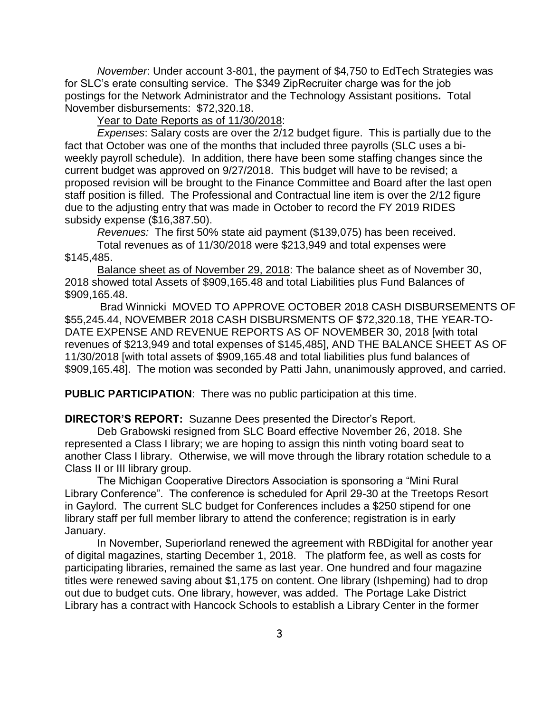*November*: Under account 3-801, the payment of \$4,750 to EdTech Strategies was for SLC's erate consulting service. The \$349 ZipRecruiter charge was for the job postings for the Network Administrator and the Technology Assistant positions**.** Total November disbursements: \$72,320.18.

Year to Date Reports as of 11/30/2018:

*Expenses*: Salary costs are over the 2/12 budget figure. This is partially due to the fact that October was one of the months that included three payrolls (SLC uses a biweekly payroll schedule). In addition, there have been some staffing changes since the current budget was approved on 9/27/2018. This budget will have to be revised; a proposed revision will be brought to the Finance Committee and Board after the last open staff position is filled. The Professional and Contractual line item is over the 2/12 figure due to the adjusting entry that was made in October to record the FY 2019 RIDES subsidy expense (\$16,387.50).

*Revenues:* The first 50% state aid payment (\$139,075) has been received. Total revenues as of 11/30/2018 were \$213,949 and total expenses were \$145,485.

Balance sheet as of November 29, 2018: The balance sheet as of November 30, 2018 showed total Assets of \$909,165.48 and total Liabilities plus Fund Balances of \$909,165.48.

Brad Winnicki MOVED TO APPROVE OCTOBER 2018 CASH DISBURSEMENTS OF \$55,245.44, NOVEMBER 2018 CASH DISBURSMENTS OF \$72,320.18, THE YEAR-TO-DATE EXPENSE AND REVENUE REPORTS AS OF NOVEMBER 30, 2018 [with total revenues of \$213,949 and total expenses of \$145,485], AND THE BALANCE SHEET AS OF 11/30/2018 [with total assets of \$909,165.48 and total liabilities plus fund balances of \$909,165.48]. The motion was seconded by Patti Jahn, unanimously approved, and carried.

**PUBLIC PARTICIPATION**: There was no public participation at this time.

**DIRECTOR'S REPORT:** Suzanne Dees presented the Director's Report.

Deb Grabowski resigned from SLC Board effective November 26, 2018. She represented a Class I library; we are hoping to assign this ninth voting board seat to another Class I library. Otherwise, we will move through the library rotation schedule to a Class II or III library group.

The Michigan Cooperative Directors Association is sponsoring a "Mini Rural Library Conference". The conference is scheduled for April 29-30 at the Treetops Resort in Gaylord. The current SLC budget for Conferences includes a \$250 stipend for one library staff per full member library to attend the conference; registration is in early January.

In November, Superiorland renewed the agreement with RBDigital for another year of digital magazines, starting December 1, 2018. The platform fee, as well as costs for participating libraries, remained the same as last year. One hundred and four magazine titles were renewed saving about \$1,175 on content. One library (Ishpeming) had to drop out due to budget cuts. One library, however, was added. The Portage Lake District Library has a contract with Hancock Schools to establish a Library Center in the former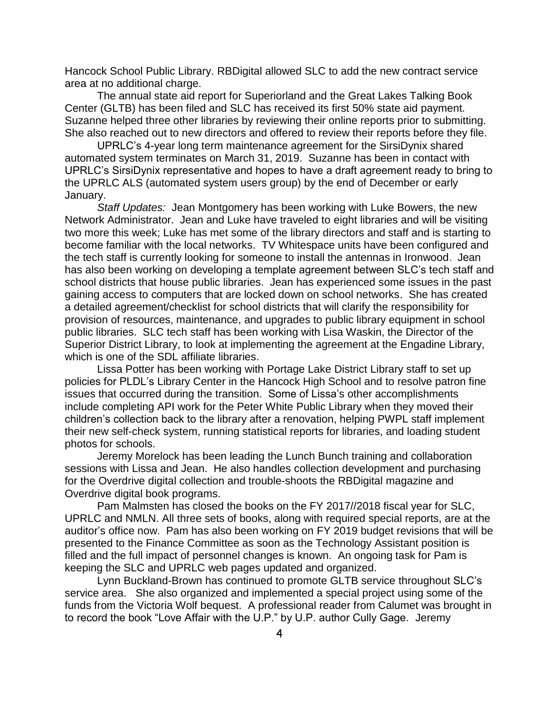Hancock School Public Library. RBDigital allowed SLC to add the new contract service area at no additional charge.

The annual state aid report for Superiorland and the Great Lakes Talking Book Center (GLTB) has been filed and SLC has received its first 50% state aid payment. Suzanne helped three other libraries by reviewing their online reports prior to submitting. She also reached out to new directors and offered to review their reports before they file.

UPRLC's 4-year long term maintenance agreement for the SirsiDynix shared automated system terminates on March 31, 2019. Suzanne has been in contact with UPRLC's SirsiDynix representative and hopes to have a draft agreement ready to bring to the UPRLC ALS (automated system users group) by the end of December or early January.

*Staff Updates:* Jean Montgomery has been working with Luke Bowers, the new Network Administrator. Jean and Luke have traveled to eight libraries and will be visiting two more this week; Luke has met some of the library directors and staff and is starting to become familiar with the local networks. TV Whitespace units have been configured and the tech staff is currently looking for someone to install the antennas in Ironwood. Jean has also been working on developing a template agreement between SLC's tech staff and school districts that house public libraries. Jean has experienced some issues in the past gaining access to computers that are locked down on school networks. She has created a detailed agreement/checklist for school districts that will clarify the responsibility for provision of resources, maintenance, and upgrades to public library equipment in school public libraries. SLC tech staff has been working with Lisa Waskin, the Director of the Superior District Library, to look at implementing the agreement at the Engadine Library, which is one of the SDL affiliate libraries.

Lissa Potter has been working with Portage Lake District Library staff to set up policies for PLDL's Library Center in the Hancock High School and to resolve patron fine issues that occurred during the transition. Some of Lissa's other accomplishments include completing API work for the Peter White Public Library when they moved their children's collection back to the library after a renovation, helping PWPL staff implement their new self-check system, running statistical reports for libraries, and loading student photos for schools.

Jeremy Morelock has been leading the Lunch Bunch training and collaboration sessions with Lissa and Jean. He also handles collection development and purchasing for the Overdrive digital collection and trouble-shoots the RBDigital magazine and Overdrive digital book programs.

Pam Malmsten has closed the books on the FY 2017//2018 fiscal year for SLC, UPRLC and NMLN. All three sets of books, along with required special reports, are at the auditor's office now. Pam has also been working on FY 2019 budget revisions that will be presented to the Finance Committee as soon as the Technology Assistant position is filled and the full impact of personnel changes is known. An ongoing task for Pam is keeping the SLC and UPRLC web pages updated and organized.

Lynn Buckland-Brown has continued to promote GLTB service throughout SLC's service area. She also organized and implemented a special project using some of the funds from the Victoria Wolf bequest. A professional reader from Calumet was brought in to record the book "Love Affair with the U.P." by U.P. author Cully Gage. Jeremy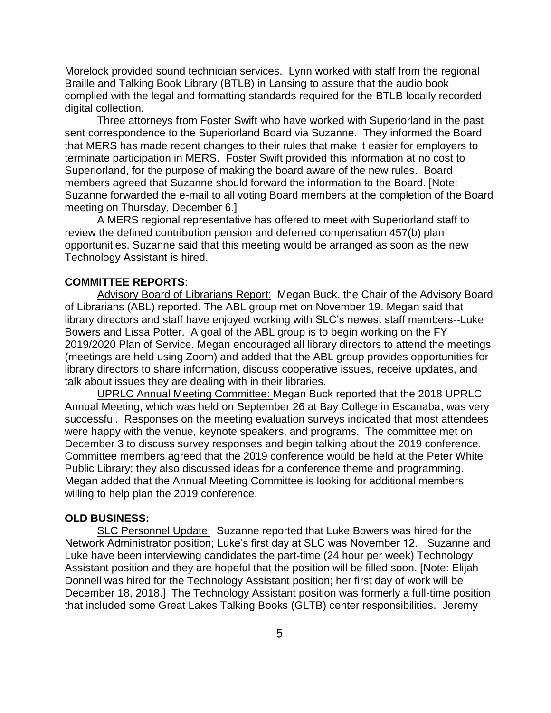Morelock provided sound technician services. Lynn worked with staff from the regional Braille and Talking Book Library (BTLB) in Lansing to assure that the audio book complied with the legal and formatting standards required for the BTLB locally recorded digital collection.

Three attorneys from Foster Swift who have worked with Superiorland in the past sent correspondence to the Superiorland Board via Suzanne. They informed the Board that MERS has made recent changes to their rules that make it easier for employers to terminate participation in MERS. Foster Swift provided this information at no cost to Superiorland, for the purpose of making the board aware of the new rules. Board members agreed that Suzanne should forward the information to the Board. [Note: Suzanne forwarded the e-mail to all voting Board members at the completion of the Board meeting on Thursday, December 6.]

A MERS regional representative has offered to meet with Superiorland staff to review the defined contribution pension and deferred compensation 457(b) plan opportunities. Suzanne said that this meeting would be arranged as soon as the new Technology Assistant is hired.

## **COMMITTEE REPORTS**:

Advisory Board of Librarians Report: Megan Buck, the Chair of the Advisory Board of Librarians (ABL) reported. The ABL group met on November 19. Megan said that library directors and staff have enjoyed working with SLC's newest staff members--Luke Bowers and Lissa Potter. A goal of the ABL group is to begin working on the FY 2019/2020 Plan of Service. Megan encouraged all library directors to attend the meetings (meetings are held using Zoom) and added that the ABL group provides opportunities for library directors to share information, discuss cooperative issues, receive updates, and talk about issues they are dealing with in their libraries.

UPRLC Annual Meeting Committee: Megan Buck reported that the 2018 UPRLC Annual Meeting, which was held on September 26 at Bay College in Escanaba, was very successful. Responses on the meeting evaluation surveys indicated that most attendees were happy with the venue, keynote speakers, and programs. The committee met on December 3 to discuss survey responses and begin talking about the 2019 conference. Committee members agreed that the 2019 conference would be held at the Peter White Public Library; they also discussed ideas for a conference theme and programming. Megan added that the Annual Meeting Committee is looking for additional members willing to help plan the 2019 conference.

#### **OLD BUSINESS:**

SLC Personnel Update: Suzanne reported that Luke Bowers was hired for the Network Administrator position; Luke's first day at SLC was November 12. Suzanne and Luke have been interviewing candidates the part-time (24 hour per week) Technology Assistant position and they are hopeful that the position will be filled soon. [Note: Elijah Donnell was hired for the Technology Assistant position; her first day of work will be December 18, 2018.] The Technology Assistant position was formerly a full-time position that included some Great Lakes Talking Books (GLTB) center responsibilities. Jeremy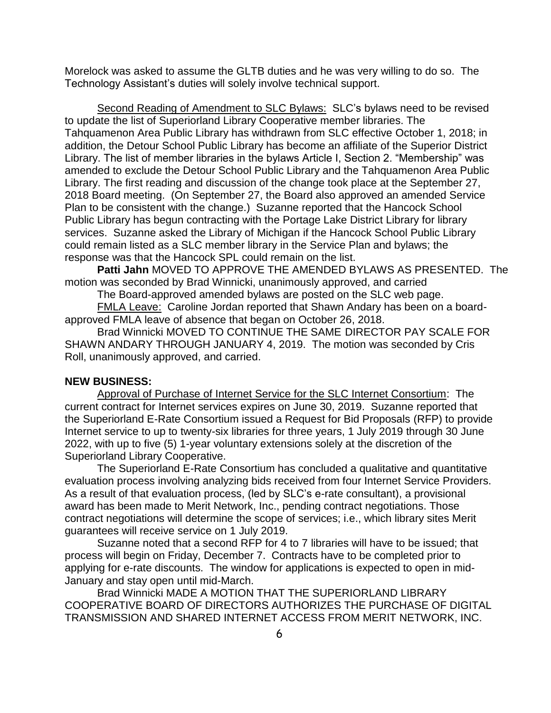Morelock was asked to assume the GLTB duties and he was very willing to do so. The Technology Assistant's duties will solely involve technical support.

Second Reading of Amendment to SLC Bylaws: SLC's bylaws need to be revised to update the list of Superiorland Library Cooperative member libraries. The Tahquamenon Area Public Library has withdrawn from SLC effective October 1, 2018; in addition, the Detour School Public Library has become an affiliate of the Superior District Library. The list of member libraries in the bylaws Article I, Section 2. "Membership" was amended to exclude the Detour School Public Library and the Tahquamenon Area Public Library. The first reading and discussion of the change took place at the September 27, 2018 Board meeting. (On September 27, the Board also approved an amended Service Plan to be consistent with the change.) Suzanne reported that the Hancock School Public Library has begun contracting with the Portage Lake District Library for library services. Suzanne asked the Library of Michigan if the Hancock School Public Library could remain listed as a SLC member library in the Service Plan and bylaws; the response was that the Hancock SPL could remain on the list.

**Patti Jahn** MOVED TO APPROVE THE AMENDED BYLAWS AS PRESENTED.The motion was seconded by Brad Winnicki, unanimously approved, and carried

The Board-approved amended bylaws are posted on the SLC web page.

FMLA Leave: Caroline Jordan reported that Shawn Andary has been on a boardapproved FMLA leave of absence that began on October 26, 2018.

Brad Winnicki MOVED TO CONTINUE THE SAME DIRECTOR PAY SCALE FOR SHAWN ANDARY THROUGH JANUARY 4, 2019. The motion was seconded by Cris Roll, unanimously approved, and carried.

#### **NEW BUSINESS:**

Approval of Purchase of Internet Service for the SLC Internet Consortium: The current contract for Internet services expires on June 30, 2019. Suzanne reported that the Superiorland E-Rate Consortium issued a Request for Bid Proposals (RFP) to provide Internet service to up to twenty-six libraries for three years, 1 July 2019 through 30 June 2022, with up to five (5) 1-year voluntary extensions solely at the discretion of the Superiorland Library Cooperative.

The Superiorland E-Rate Consortium has concluded a qualitative and quantitative evaluation process involving analyzing bids received from four Internet Service Providers. As a result of that evaluation process, (led by SLC's e-rate consultant), a provisional award has been made to Merit Network, Inc., pending contract negotiations. Those contract negotiations will determine the scope of services; i.e., which library sites Merit guarantees will receive service on 1 July 2019.

Suzanne noted that a second RFP for 4 to 7 libraries will have to be issued; that process will begin on Friday, December 7. Contracts have to be completed prior to applying for e-rate discounts. The window for applications is expected to open in mid-January and stay open until mid-March.

Brad Winnicki MADE A MOTION THAT THE SUPERIORLAND LIBRARY COOPERATIVE BOARD OF DIRECTORS AUTHORIZES THE PURCHASE OF DIGITAL TRANSMISSION AND SHARED INTERNET ACCESS FROM MERIT NETWORK, INC.